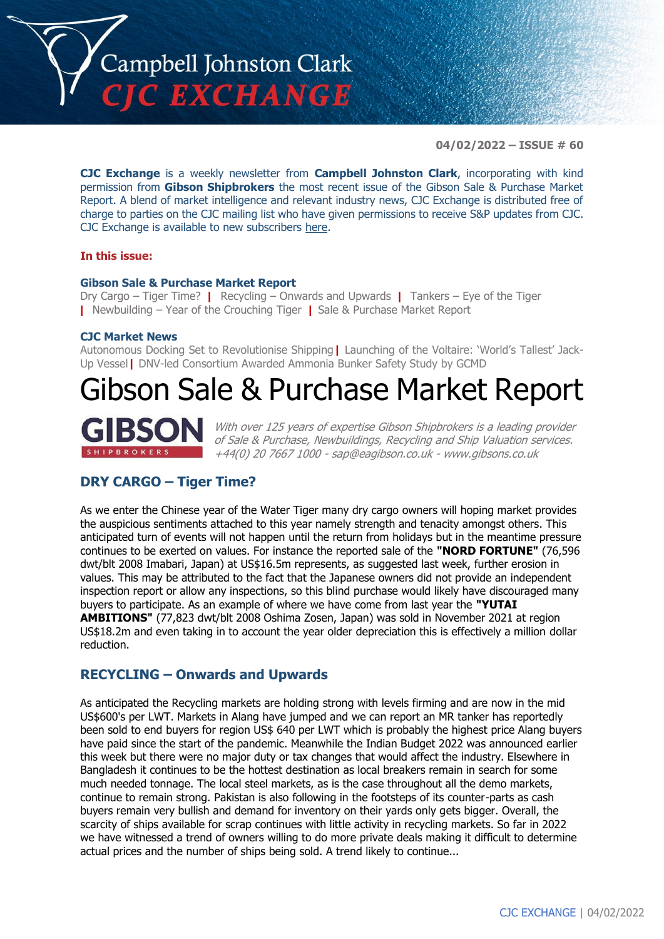

**04/02/2022 – ISSUE # 60**

**CJC Exchange** is a weekly newsletter from **Campbell Johnston Clark**, incorporating with kind permission from **Gibson Shipbrokers** the most recent issue of the Gibson Sale & Purchase Market Report. A blend of market intelligence and relevant industry news, CJC Exchange is distributed free of charge to parties on the CJC mailing list who have given permissions to receive S&P updates from CJC. CJC Exchange is available to new subscribers [here.](mailto:jamesc@cjclaw.com?subject=CJC%20Exchange%20sign-up)

### **In this issue:**

### **Gibson Sale & Purchase Market Report**

Dry Cargo – Tiger Time? **|** Recycling – Onwards and Upwards **|** Tankers – Eye of the Tiger **|** Newbuilding – Year of the Crouching Tiger **|** Sale & Purchase Market Report

#### **CJC Market News**

Autonomous Docking Set to Revolutionise Shipping**|** Launching of the Voltaire: 'World's Tallest' Jack-Up Vessel**|** DNV-led Consortium Awarded Ammonia Bunker Safety Study by GCMD

# Gibson Sale & Purchase Market Report



With over 125 years of expertise Gibson Shipbrokers is a leading provider of Sale & Purchase, Newbuildings, Recycling and Ship Valuation services. +44(0) 20 7667 1000 - [sap@eagibson.co.uk](mailto:sap@eagibson.co.uk) - [www.gibsons.co.uk](https://protect-eu.mimecast.com/s/VO6nCGZzRS60KqcK1jQh/)

# **DRY CARGO – Tiger Time?**

As we enter the Chinese year of the Water Tiger many dry cargo owners will hoping market provides the auspicious sentiments attached to this year namely strength and tenacity amongst others. This anticipated turn of events will not happen until the return from holidays but in the meantime pressure continues to be exerted on values. For instance the reported sale of the **"NORD FORTUNE"** (76,596 dwt/blt 2008 Imabari, Japan) at US\$16.5m represents, as suggested last week, further erosion in values. This may be attributed to the fact that the Japanese owners did not provide an independent inspection report or allow any inspections, so this blind purchase would likely have discouraged many buyers to participate. As an example of where we have come from last year the **"YUTAI AMBITIONS"** (77,823 dwt/blt 2008 Oshima Zosen, Japan) was sold in November 2021 at region US\$18.2m and even taking in to account the year older depreciation this is effectively a million dollar reduction.

# **RECYCLING – Onwards and Upwards**

As anticipated the Recycling markets are holding strong with levels firming and are now in the mid US\$600's per LWT. Markets in Alang have jumped and we can report an MR tanker has reportedly been sold to end buyers for region US\$ 640 per LWT which is probably the highest price Alang buyers have paid since the start of the pandemic. Meanwhile the Indian Budget 2022 was announced earlier this week but there were no major duty or tax changes that would affect the industry. Elsewhere in Bangladesh it continues to be the hottest destination as local breakers remain in search for some much needed tonnage. The local steel markets, as is the case throughout all the demo markets, continue to remain strong. Pakistan is also following in the footsteps of its counter-parts as cash buyers remain very bullish and demand for inventory on their yards only gets bigger. Overall, the scarcity of ships available for scrap continues with little activity in recycling markets. So far in 2022 we have witnessed a trend of owners willing to do more private deals making it difficult to determine actual prices and the number of ships being sold. A trend likely to continue...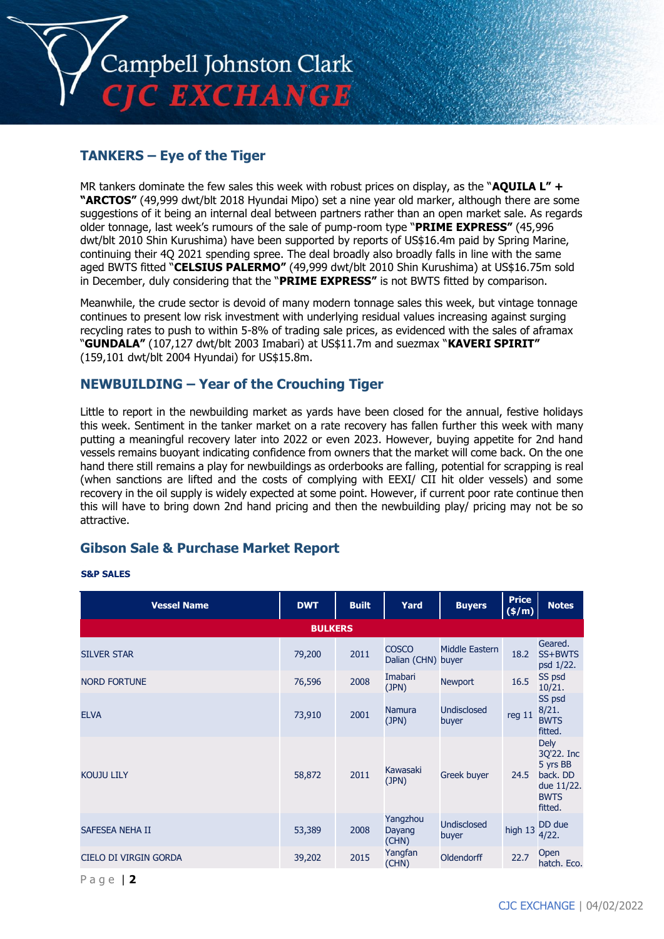

## **TANKERS – Eye of the Tiger**

MR tankers dominate the few sales this week with robust prices on display, as the "**AQUILA L" + "ARCTOS"** (49,999 dwt/blt 2018 Hyundai Mipo) set a nine year old marker, although there are some suggestions of it being an internal deal between partners rather than an open market sale. As regards older tonnage, last week's rumours of the sale of pump-room type "**PRIME EXPRESS"** (45,996 dwt/blt 2010 Shin Kurushima) have been supported by reports of US\$16.4m paid by Spring Marine, continuing their 4Q 2021 spending spree. The deal broadly also broadly falls in line with the same aged BWTS fitted "**CELSIUS PALERMO"** (49,999 dwt/blt 2010 Shin Kurushima) at US\$16.75m sold in December, duly considering that the "**PRIME EXPRESS"** is not BWTS fitted by comparison.

Meanwhile, the crude sector is devoid of many modern tonnage sales this week, but vintage tonnage continues to present low risk investment with underlying residual values increasing against surging recycling rates to push to within 5-8% of trading sale prices, as evidenced with the sales of aframax "**GUNDALA"** (107,127 dwt/blt 2003 Imabari) at US\$11.7m and suezmax "**KAVERI SPIRIT"** (159,101 dwt/blt 2004 Hyundai) for US\$15.8m.

## **NEWBUILDING – Year of the Crouching Tiger**

Little to report in the newbuilding market as yards have been closed for the annual, festive holidays this week. Sentiment in the tanker market on a rate recovery has fallen further this week with many putting a meaningful recovery later into 2022 or even 2023. However, buying appetite for 2nd hand vessels remains buoyant indicating confidence from owners that the market will come back. On the one hand there still remains a play for newbuildings as orderbooks are falling, potential for scrapping is real (when sanctions are lifted and the costs of complying with EEXI/ CII hit older vessels) and some recovery in the oil supply is widely expected at some point. However, if current poor rate continue then this will have to bring down 2nd hand pricing and then the newbuilding play/ pricing may not be so attractive.

## **Gibson Sale & Purchase Market Report**

#### **S&P SALES**

| <b>Vessel Name</b>    | <b>DWT</b>     | <b>Built</b> | Yard                               | <b>Buyers</b>               | <b>Price</b><br>$\sqrt{5/m}$ | <b>Notes</b>                                                                              |
|-----------------------|----------------|--------------|------------------------------------|-----------------------------|------------------------------|-------------------------------------------------------------------------------------------|
|                       | <b>BULKERS</b> |              |                                    |                             |                              |                                                                                           |
| <b>SILVER STAR</b>    | 79,200         | 2011         | <b>COSCO</b><br>Dalian (CHN) buyer | Middle Eastern              | 18.2                         | Geared.<br>SS+BWTS<br>psd 1/22.                                                           |
| <b>NORD FORTUNE</b>   | 76,596         | 2008         | Imabari<br>(JPN)                   | <b>Newport</b>              | 16.5                         | SS psd<br>10/21.                                                                          |
| <b>ELVA</b>           | 73,910         | 2001         | <b>Namura</b><br>(JPN)             | <b>Undisclosed</b><br>buyer | reg 11                       | SS psd<br>8/21.<br><b>BWTS</b><br>fitted.                                                 |
| <b>KOUJU LILY</b>     | 58,872         | 2011         | Kawasaki<br>(JPN)                  | Greek buyer                 | 24.5                         | <b>Dely</b><br>3Q'22. Inc<br>5 yrs BB<br>back. DD<br>due 11/22.<br><b>BWTS</b><br>fitted. |
| SAFESEA NEHA II       | 53,389         | 2008         | Yangzhou<br>Dayang<br>(CHN)        | <b>Undisclosed</b><br>buyer | high 13                      | DD due<br>4/22.                                                                           |
| CIELO DI VIRGIN GORDA | 39,202         | 2015         | Yangfan<br>(CHN)                   | Oldendorff                  | 22.7                         | Open<br>hatch. Eco.                                                                       |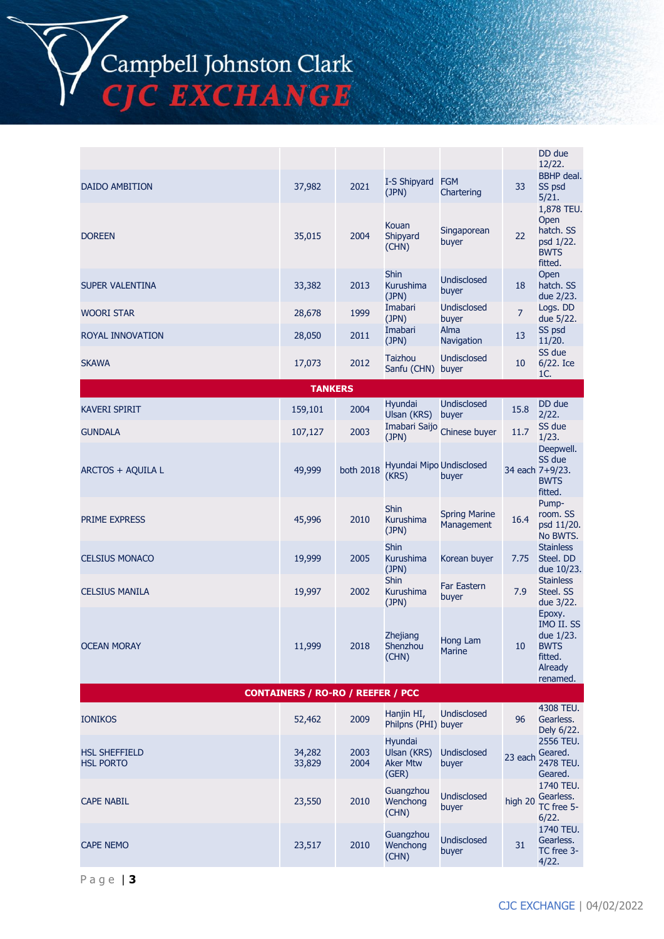Campbell Johnston Clark<br>CJC EXCHANGE

|                                          |                                          |              |                                                    |                                    |                | DD due<br>12/22.                                                                          |
|------------------------------------------|------------------------------------------|--------------|----------------------------------------------------|------------------------------------|----------------|-------------------------------------------------------------------------------------------|
| <b>DAIDO AMBITION</b>                    | 37,982                                   | 2021         | I-S Shipyard<br>(JPN)                              | <b>FGM</b><br>Chartering           | 33             | <b>BBHP</b> deal.<br>SS psd<br>5/21.                                                      |
| <b>DOREEN</b>                            | 35,015                                   | 2004         | Kouan<br>Shipyard<br>(CHN)                         | Singaporean<br>buyer               | 22             | 1,878 TEU.<br>Open<br>hatch. SS<br>psd 1/22.<br>BWTS<br>fitted.                           |
| SUPER VALENTINA                          | 33,382                                   | 2013         | <b>Shin</b><br>Kurushima<br>(JPN)                  | <b>Undisclosed</b><br>buyer        | 18             | Open<br>hatch. SS<br>due 2/23.                                                            |
| <b>WOORI STAR</b>                        | 28,678                                   | 1999         | Imabari<br>(JPN)                                   | <b>Undisclosed</b><br>buyer        | $\overline{7}$ | Logs. DD<br>due 5/22.                                                                     |
| ROYAL INNOVATION                         | 28,050                                   | 2011         | Imabari<br>(JPN)                                   | Alma<br>Navigation                 | 13             | SS psd<br>11/20.                                                                          |
| <b>SKAWA</b>                             | 17,073                                   | 2012         | Taizhou<br>Sanfu (CHN)                             | <b>Undisclosed</b><br>buyer        | 10             | SS due<br>$6/22.$ Ice<br>1C.                                                              |
|                                          | <b>TANKERS</b>                           |              |                                                    |                                    |                |                                                                                           |
| <b>KAVERI SPIRIT</b>                     | 159,101                                  | 2004         | Hyundai<br>Ulsan (KRS)                             | Undisclosed<br>buyer               | 15.8           | DD due<br>2/22.                                                                           |
| <b>GUNDALA</b>                           | 107,127                                  | 2003         | Imabari Saijo<br>(JPN)                             | Chinese buyer                      | 11.7           | SS due<br>1/23.                                                                           |
| ARCTOS + AQUILA L                        | 49,999                                   | both 2018    | Hyundai Mipo Undisclosed<br>(KRS)                  | buyer                              |                | Deepwell.<br>SS due<br>34 each 7+9/23.<br><b>BWTS</b><br>fitted.                          |
| PRIME EXPRESS                            | 45,996                                   | 2010         | <b>Shin</b><br>Kurushima<br>(JPN)                  | <b>Spring Marine</b><br>Management | 16.4           | Pump-<br>room. SS<br>psd 11/20.<br>No BWTS.                                               |
| <b>CELSIUS MONACO</b>                    | 19,999                                   | 2005         | <b>Shin</b><br>Kurushima<br>(JPN)                  | Korean buyer                       | 7.75           | <b>Stainless</b><br>Steel. DD<br>due 10/23.                                               |
| <b>CELSIUS MANILA</b>                    | 19,997                                   | 2002         | <b>Shin</b><br>Kurushima<br>(JPN)                  | <b>Far Eastern</b><br>buyer        | 7.9            | <b>Stainless</b><br>Steel. SS<br>due 3/22.                                                |
| <b>OCEAN MORAY</b>                       | 11,999                                   | 2018         | Zhejiang<br>Shenzhou<br>(CHN)                      | Hong Lam<br><b>Marine</b>          | 10             | Epoxy.<br>IMO II. SS<br>due 1/23.<br><b>BWTS</b><br>fitted.<br><b>Already</b><br>renamed. |
|                                          | <b>CONTAINERS / RO-RO / REEFER / PCC</b> |              |                                                    |                                    |                |                                                                                           |
| <b>IONIKOS</b>                           | 52,462                                   | 2009         | Hanjin HI,<br>Philpns (PHI) buyer                  | <b>Undisclosed</b>                 | 96             | 4308 TEU.<br>Gearless.<br>Dely 6/22.                                                      |
| <b>HSL SHEFFIELD</b><br><b>HSL PORTO</b> | 34,282<br>33,829                         | 2003<br>2004 | Hyundai<br>Ulsan (KRS)<br><b>Aker Mtw</b><br>(GER) | <b>Undisclosed</b><br>buyer        | 23 each        | 2556 TEU.<br>Geared.<br>2478 TEU.<br>Geared.                                              |
| <b>CAPE NABIL</b>                        | 23,550                                   | 2010         | Guangzhou<br>Wenchong<br>(CHN)                     | <b>Undisclosed</b><br>buyer        | high 20        | 1740 TEU.<br>Gearless.<br>TC free 5-<br>6/22.                                             |
| <b>CAPE NEMO</b>                         | 23,517                                   | 2010         | Guangzhou<br>Wenchong<br>(CHN)                     | <b>Undisclosed</b><br>buyer        | 31             | 1740 TEU.<br>Gearless.<br>TC free 3-<br>4/22.                                             |

P a g e | **3**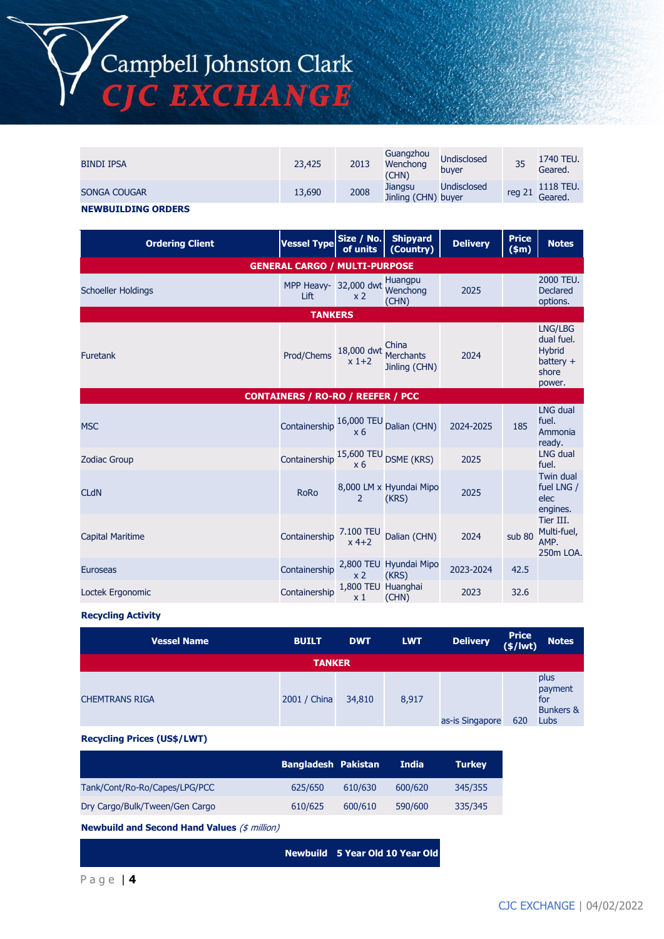Campbell Johnston Clark<br>CJC EXCHANGE

| <b>BINDI IPSA</b>         | 23,425 | 2013 | Guangzhou<br>Wenchong<br>(CHN) | <b>Undisclosed</b><br>buver | 35     | 1740 TEU.<br>Geared. |
|---------------------------|--------|------|--------------------------------|-----------------------------|--------|----------------------|
| SONGA COUGAR              | 13,690 | 2008 | Jiangsu<br>Jinling (CHN) buyer | Undisclosed                 | reg 21 | 1118 TEU.<br>Geared. |
| <b>NEWBUILDING ORDERS</b> |        |      |                                |                             |        |                      |

| <b>Ordering Client</b>                   | <b>Vessel Type</b>                                          | Size / No.<br>of units               | <b>Shipyard</b><br>(Country)               | <b>Delivery</b> | <b>Price</b><br>\$m\$ | <b>Notes</b>                                                             |  |
|------------------------------------------|-------------------------------------------------------------|--------------------------------------|--------------------------------------------|-----------------|-----------------------|--------------------------------------------------------------------------|--|
| <b>GENERAL CARGO / MULTI-PURPOSE</b>     |                                                             |                                      |                                            |                 |                       |                                                                          |  |
| <b>Schoeller Holdings</b>                | MPP Heavy- 32,000 dwt<br>Lift                               | x <sub>2</sub>                       | <b>Huangpu</b><br>Wenchong<br>(CHN)        | 2025            |                       | 2000 TEU.<br><b>Declared</b><br>options.                                 |  |
|                                          | <b>TANKERS</b>                                              |                                      |                                            |                 |                       |                                                                          |  |
| <b>Furetank</b>                          | Prod/Chems                                                  | 18,000 dwt<br>$x$ 1+2                | China<br><b>Merchants</b><br>Jinling (CHN) | 2024            |                       | LNG/LBG<br>dual fuel.<br><b>Hybrid</b><br>battery $+$<br>shore<br>power. |  |
| <b>CONTAINERS / RO-RO / REEFER / PCC</b> |                                                             |                                      |                                            |                 |                       |                                                                          |  |
| <b>MSC</b>                               | Containership $\frac{16,000 \text{ TEU}}{x 6}$ Dalian (CHN) |                                      |                                            | 2024-2025       | 185                   | <b>LNG dual</b><br>fuel.<br>Ammonia<br>ready.                            |  |
| <b>Zodiac Group</b>                      | Containership                                               | 15,600 TEU<br>x <sub>6</sub>         | <b>DSME (KRS)</b>                          | 2025            |                       | <b>LNG dual</b><br>fuel.                                                 |  |
| <b>CLdN</b>                              | <b>RoRo</b>                                                 | 2                                    | 8,000 LM x Hyundai Mipo<br>(KRS)           | 2025            |                       | <b>Twin dual</b><br>fuel LNG /<br>elec<br>engines.                       |  |
| <b>Capital Maritime</b>                  | Containership                                               | 7.100 TEU<br>$x$ 4+2                 | Dalian (CHN)                               | 2024            | sub 80                | Tier III.<br>Multi-fuel,<br>AMP.<br>250m LOA.                            |  |
| <b>Euroseas</b>                          | Containership                                               | x <sub>2</sub>                       | 2,800 TEU Hyundai Mipo<br>(KRS)            | 2023-2024       | 42.5                  |                                                                          |  |
| Loctek Ergonomic                         | Containership                                               | 1,800 TEU Huanghai<br>x <sub>1</sub> | (CHN)                                      | 2023            | 32.6                  |                                                                          |  |

#### **Recycling Activity**

| <b>Vessel Name</b>    | <b>BUILT</b>  | <b>DWT</b> | <b>LWT</b> | <b>Delivery</b> | Price<br>(\$/lwt) | <b>Notes</b>                                                  |
|-----------------------|---------------|------------|------------|-----------------|-------------------|---------------------------------------------------------------|
|                       | <b>TANKER</b> |            |            |                 |                   |                                                               |
| <b>CHEMTRANS RIGA</b> | 2001 / China  | 34,810     | 8,917      | as-is Singapore | 620               | plus<br>payment<br>for<br><b>Bunkers &amp;</b><br><b>Lubs</b> |

#### **Recycling Prices (US\$/LWT)**

|                                | <b>Bangladesh Pakistan</b> |         | <b>India</b> | <b>Turkey</b> |
|--------------------------------|----------------------------|---------|--------------|---------------|
| Tank/Cont/Ro-Ro/Capes/LPG/PCC  | 625/650                    | 610/630 | 600/620      | 345/355       |
| Dry Cargo/Bulk/Tween/Gen Cargo | 610/625                    | 600/610 | 590/600      | 335/345       |

**Newbuild and Second Hand Values** (\$ million)

**Newbuild 5 Year Old 10 Year Old**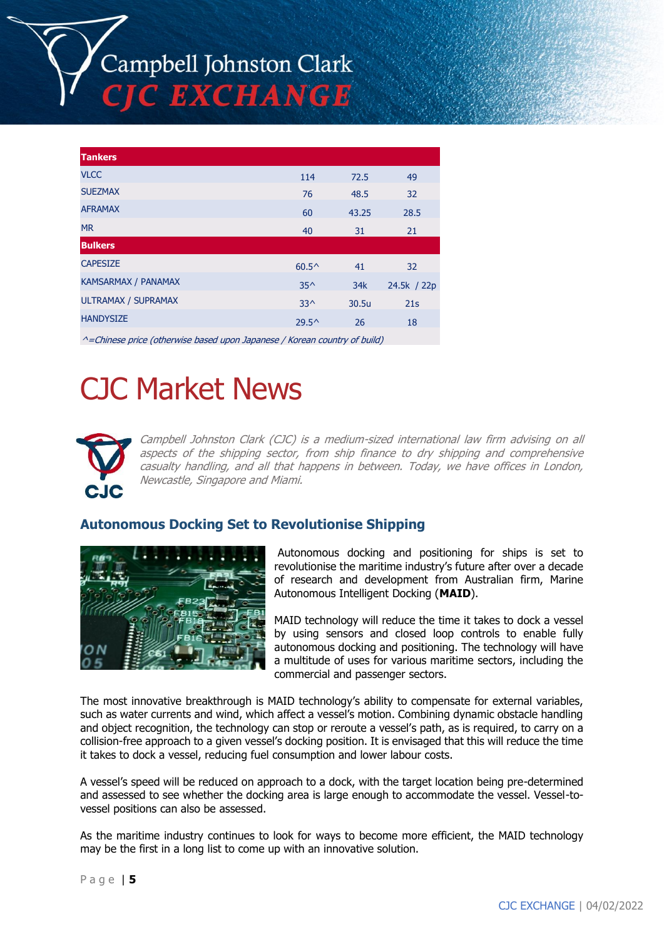Campbell Johnston Clark C EXCHANGE

| <b>Tankers</b>             |                |       |             |
|----------------------------|----------------|-------|-------------|
| <b>VLCC</b>                | 114            | 72.5  | 49          |
| <b>SUEZMAX</b>             | 76             | 48.5  | 32          |
| <b>AFRAMAX</b>             | 60             | 43.25 | 28.5        |
| <b>MR</b>                  | 40             | 31    | 21          |
| <b>Bulkers</b>             |                |       |             |
| <b>CAPESIZE</b>            | $60.5^{\circ}$ | 41    | 32          |
| <b>KAMSARMAX / PANAMAX</b> | $35^{\wedge}$  | 34k   | 24.5k / 22p |
| ULTRAMAX / SUPRAMAX        | $33^$          | 30.5u | 21s         |
| <b>HANDYSIZE</b>           | $29.5^{\circ}$ | 26    | 18          |
|                            |                |       |             |

 $^{\wedge}$ =Chinese price (otherwise based upon Japanese / Korean country of build)

# CJC Market News



Campbell Johnston Clark (CJC) is a medium-sized international law firm advising on all aspects of the shipping sector, from ship finance to dry shipping and comprehensive casualty handling, and all that happens in between. Today, we have offices in London, Newcastle, Singapore and Miami.

## **Autonomous Docking Set to Revolutionise Shipping**



Autonomous docking and positioning for ships is set to revolutionise the maritime industry's future after over a decade of research and development from Australian firm, Marine Autonomous Intelligent Docking (**MAID**).

MAID technology will reduce the time it takes to dock a vessel by using sensors and closed loop controls to enable fully autonomous docking and positioning. The technology will have a multitude of uses for various maritime sectors, including the commercial and passenger sectors.

The most innovative breakthrough is MAID technology's ability to compensate for external variables, such as water currents and wind, which affect a vessel's motion. Combining dynamic obstacle handling and object recognition, the technology can stop or reroute a vessel's path, as is required, to carry on a collision-free approach to a given vessel's docking position. It is envisaged that this will reduce the time it takes to dock a vessel, reducing fuel consumption and lower labour costs.

A vessel's speed will be reduced on approach to a dock, with the target location being pre-determined and assessed to see whether the docking area is large enough to accommodate the vessel. Vessel-tovessel positions can also be assessed.

As the maritime industry continues to look for ways to become more efficient, the MAID technology may be the first in a long list to come up with an innovative solution.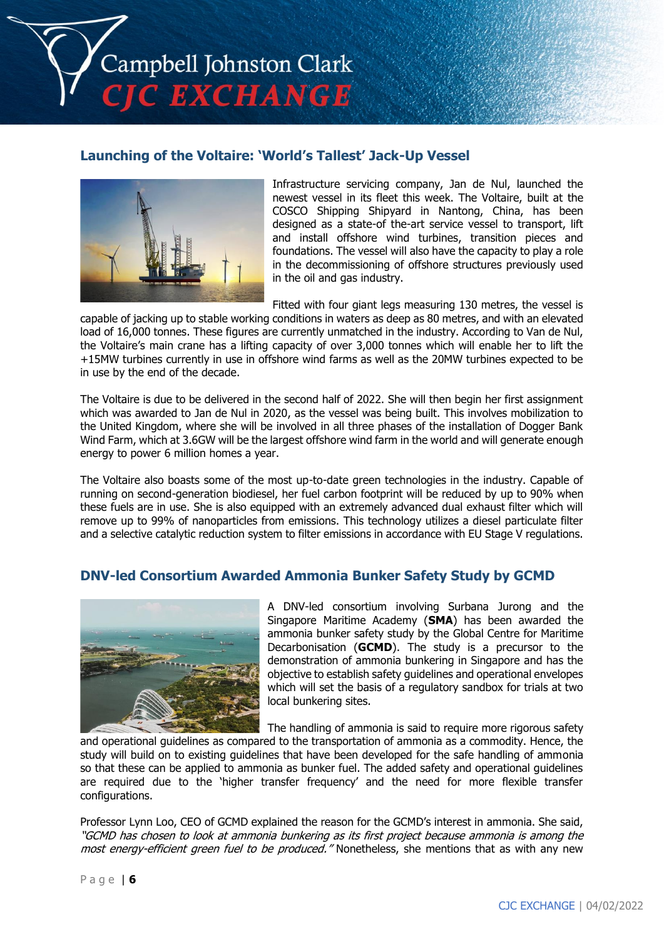Campbell Johnston Clark **C EXCHANGE** 

# **Launching of the Voltaire: 'World's Tallest' Jack-Up Vessel**



Infrastructure servicing company, Jan de Nul, launched the newest vessel in its fleet this week. The Voltaire, built at the COSCO Shipping Shipyard in Nantong, China, has been designed as a state-of the-art service vessel to transport, lift and install offshore wind turbines, transition pieces and foundations. The vessel will also have the capacity to play a role in the decommissioning of offshore structures previously used in the oil and gas industry.

Fitted with four giant legs measuring 130 metres, the vessel is

capable of jacking up to stable working conditions in waters as deep as 80 metres, and with an elevated load of 16,000 tonnes. These figures are currently unmatched in the industry. According to Van de Nul, the Voltaire's main crane has a lifting capacity of over 3,000 tonnes which will enable her to lift the +15MW turbines currently in use in offshore wind farms as well as the 20MW turbines expected to be in use by the end of the decade.

The Voltaire is due to be delivered in the second half of 2022. She will then begin her first assignment which was awarded to Jan de Nul in 2020, as the vessel was being built. This involves mobilization to the United Kingdom, where she will be involved in all three phases of the installation of Dogger Bank Wind Farm, which at 3.6GW will be the largest offshore wind farm in the world and will generate enough energy to power 6 million homes a year.

The Voltaire also boasts some of the most up-to-date green technologies in the industry. Capable of running on second-generation biodiesel, her fuel carbon footprint will be reduced by up to 90% when these fuels are in use. She is also equipped with an extremely advanced dual exhaust filter which will remove up to 99% of nanoparticles from emissions. This technology utilizes a diesel particulate filter and a selective catalytic reduction system to filter emissions in accordance with EU Stage V regulations.

# **DNV-led Consortium Awarded Ammonia Bunker Safety Study by GCMD**



A DNV-led consortium involving Surbana Jurong and the Singapore Maritime Academy (**SMA**) has been awarded the ammonia bunker safety study by the Global Centre for Maritime Decarbonisation (**GCMD**). The study is a precursor to the demonstration of ammonia bunkering in Singapore and has the objective to establish safety guidelines and operational envelopes which will set the basis of a regulatory sandbox for trials at two local bunkering sites.

The handling of ammonia is said to require more rigorous safety

and operational guidelines as compared to the transportation of ammonia as a commodity. Hence, the study will build on to existing guidelines that have been developed for the safe handling of ammonia so that these can be applied to ammonia as bunker fuel. The added safety and operational guidelines are required due to the 'higher transfer frequency' and the need for more flexible transfer configurations.

Professor Lynn Loo, CEO of GCMD explained the reason for the GCMD's interest in ammonia. She said, "GCMD has chosen to look at ammonia bunkering as its first project because ammonia is among the most energy-efficient green fuel to be produced." Nonetheless, she mentions that as with any new